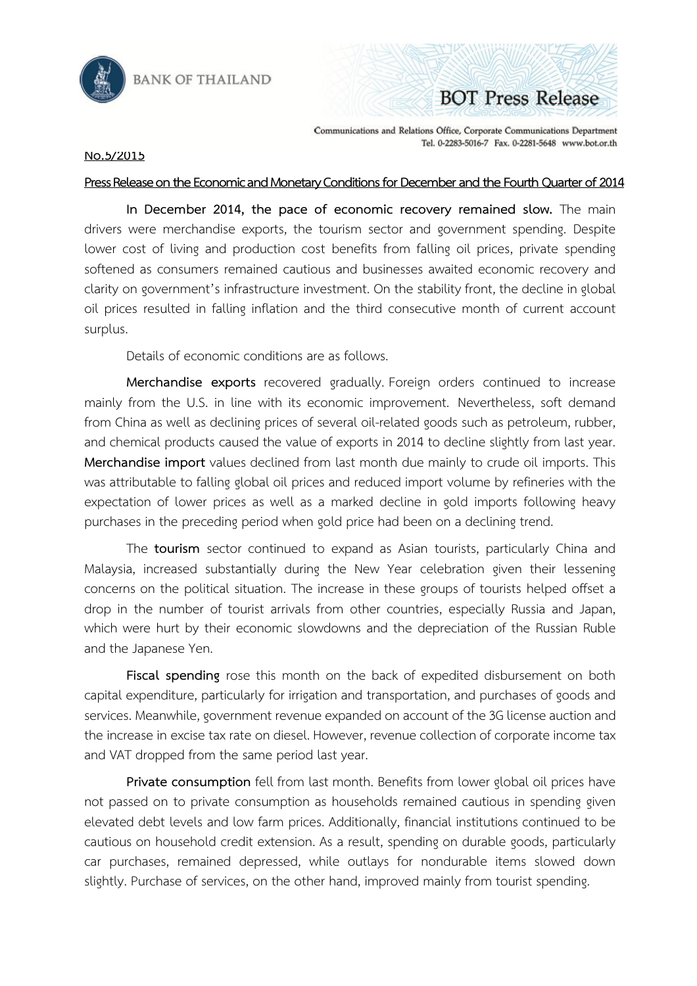

## Communications and Relations Office, Corporate Communications Department Tel. 0-2283-5016-7 Fax. 0-2281-5648 www.bot.or.th

**BOT Press Release** 

## **No.5/2015**

## Press Release on the Economic and Monetary Conditions for December and the Fourth Quarter of 2014

**In December 2014, the pace of economic recovery remained slow.** The main drivers were merchandise exports, the tourism sector and government spending. Despite lower cost of living and production cost benefits from falling oil prices, private spending softened as consumers remained cautious and businesses awaited economic recovery and clarity on government's infrastructure investment. On the stability front, the decline in global oil prices resulted in falling inflation and the third consecutive month of current account surplus.

Details of economic conditions are as follows.

**Merchandise exports** recovered gradually. Foreign orders continued to increase mainly from the U.S. in line with its economic improvement. Nevertheless, soft demand from China as well as declining prices of several oil-related goods such as petroleum, rubber, and chemical products caused the value of exports in 2014 to decline slightly from last year. **Merchandise import** values declined from last month due mainly to crude oil imports. This was attributable to falling global oil prices and reduced import volume by refineries with the expectation of lower prices as well as a marked decline in gold imports following heavy purchases in the preceding period when gold price had been on a declining trend.

The **tourism** sector continued to expand as Asian tourists, particularly China and Malaysia, increased substantially during the New Year celebration given their lessening concerns on the political situation. The increase in these groups of tourists helped offset a drop in the number of tourist arrivals from other countries, especially Russia and Japan, which were hurt by their economic slowdowns and the depreciation of the Russian Ruble and the Japanese Yen.

**Fiscal spending** rose this month on the back of expedited disbursement on both capital expenditure, particularly for irrigation and transportation, and purchases of goods and services. Meanwhile, government revenue expanded on account of the 3G license auction and the increase in excise tax rate on diesel. However, revenue collection of corporate income tax and VAT dropped from the same period last year.

**Private consumption** fell from last month. Benefits from lower global oil prices have not passed on to private consumption as households remained cautious in spending given elevated debt levels and low farm prices. Additionally, financial institutions continued to be cautious on household credit extension. As a result, spending on durable goods, particularly car purchases, remained depressed, while outlays for nondurable items slowed down slightly. Purchase of services, on the other hand, improved mainly from tourist spending.